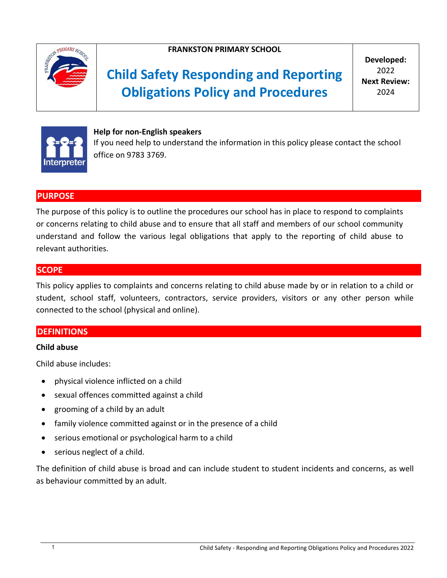

## **FRANKSTON PRIMARY SCHOOL**

# **Child Safety Responding and Reporting Obligations Policy and Procedures**

**Developed:** 2022 **Next Review:** 2024



**Help for non-English speakers** If you need help to understand the information in this policy please contact the school office on 9783 3769.

## **PURPOSE**

The purpose of this policy is to outline the procedures our school has in place to respond to complaints or concerns relating to child abuse and to ensure that all staff and members of our school community understand and follow the various legal obligations that apply to the reporting of child abuse to relevant authorities.

## **SCOPE**

This policy applies to complaints and concerns relating to child abuse made by or in relation to a child or student, school staff, volunteers, contractors, service providers, visitors or any other person while connected to the school (physical and online).

## **DEFINITIONS**

#### **Child abuse**

Child abuse includes:

- physical violence inflicted on a child
- sexual offences committed against a child
- grooming of a child by an adult
- family violence committed against or in the presence of a child
- serious emotional or psychological harm to a child
- serious neglect of a child.

The definition of child abuse is broad and can include student to student incidents and concerns, as well as behaviour committed by an adult.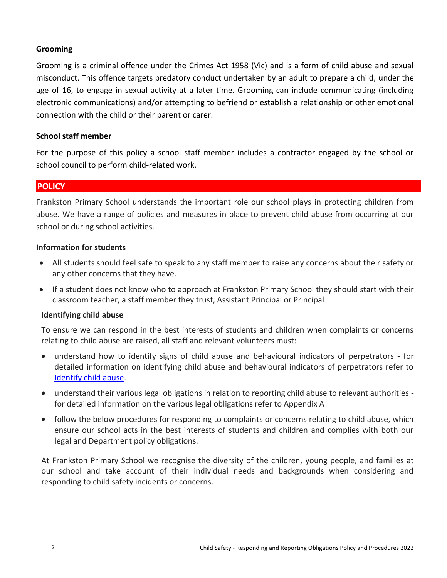#### **Grooming**

Grooming is a criminal offence under the Crimes Act 1958 (Vic) and is a form of child abuse and sexual misconduct. This offence targets predatory conduct undertaken by an adult to prepare a child, under the age of 16, to engage in sexual activity at a later time. Grooming can include communicating (including electronic communications) and/or attempting to befriend or establish a relationship or other emotional connection with the child or their parent or carer.

#### **School staff member**

For the purpose of this policy a school staff member includes a contractor engaged by the school or school council to perform child-related work.

#### **POLICY**

Frankston Primary School understands the important role our school plays in protecting children from abuse. We have a range of policies and measures in place to prevent child abuse from occurring at our school or during school activities.

#### **Information for students**

- All students should feel safe to speak to any staff member to raise any concerns about their safety or any other concerns that they have.
- If a student does not know who to approach at Frankston Primary School they should start with their classroom teacher, a staff member they trust, Assistant Principal or Principal

#### **Identifying child abuse**

To ensure we can respond in the best interests of students and children when complaints or concerns relating to child abuse are raised, all staff and relevant volunteers must:

- understand how to identify signs of child abuse and behavioural indicators of perpetrators for detailed information on identifying child abuse and behavioural indicators of perpetrators refer to [Identify child abuse.](https://www.education.vic.gov.au/school/teachers/health/childprotection/Pages/identify.aspx)
- understand their various legal obligations in relation to reporting child abuse to relevant authorities for detailed information on the various legal obligations refer to Appendix A
- follow the below procedures for responding to complaints or concerns relating to child abuse, which ensure our school acts in the best interests of students and children and complies with both our legal and Department policy obligations.

At Frankston Primary School we recognise the diversity of the children, young people, and families at our school and take account of their individual needs and backgrounds when considering and responding to child safety incidents or concerns.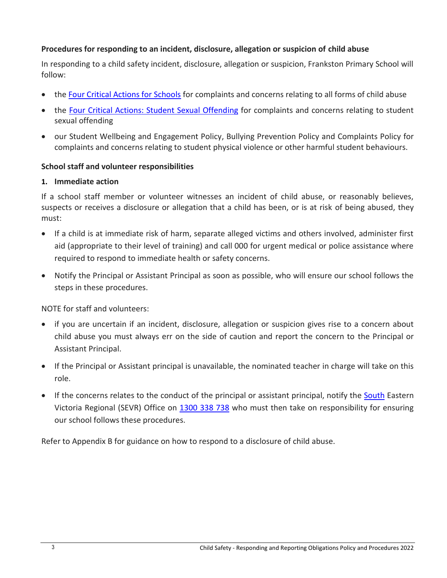### **Procedures for responding to an incident, disclosure, allegation or suspicion of child abuse**

In responding to a child safety incident, disclosure, allegation or suspicion, Frankston Primary School will follow:

- th[e Four Critical Actions for Schools](https://www.education.vic.gov.au/Documents/about/programs/health/protect/FourCriticalActions_ChildAbuse.pdf) for complaints and concerns relating to all forms of child abuse
- the [Four Critical Actions: Student Sexual Offending](https://www.education.vic.gov.au/school/teachers/health/childprotection/Pages/stusexual.aspx) for complaints and concerns relating to student sexual offending
- our Student Wellbeing and Engagement Policy, Bullying Prevention Policy and Complaints Policy for complaints and concerns relating to student physical violence or other harmful student behaviours.

#### **School staff and volunteer responsibilities**

#### **1. Immediate action**

If a school staff member or volunteer witnesses an incident of child abuse, or reasonably believes, suspects or receives a disclosure or allegation that a child has been, or is at risk of being abused, they must:

- If a child is at immediate risk of harm, separate alleged victims and others involved, administer first aid (appropriate to their level of training) and call 000 for urgent medical or police assistance where required to respond to immediate health or safety concerns.
- Notify the Principal or Assistant Principal as soon as possible, who will ensure our school follows the steps in these procedures.

NOTE for staff and volunteers:

- if you are uncertain if an incident, disclosure, allegation or suspicion gives rise to a concern about child abuse you must always err on the side of caution and report the concern to the Principal or Assistant Principal.
- If the Principal or Assistant principal is unavailable, the nominated teacher in charge will take on this role.
- If the concerns relates to the conduct of the principal or assistant principal, notify the **South** Eastern Victoria Regional (SEVR) Office on [1300 338 738](tel:1300338738) who must then take on responsibility for ensuring our school follows these procedures.

Refer to Appendix B for guidance on how to respond to a disclosure of child abuse.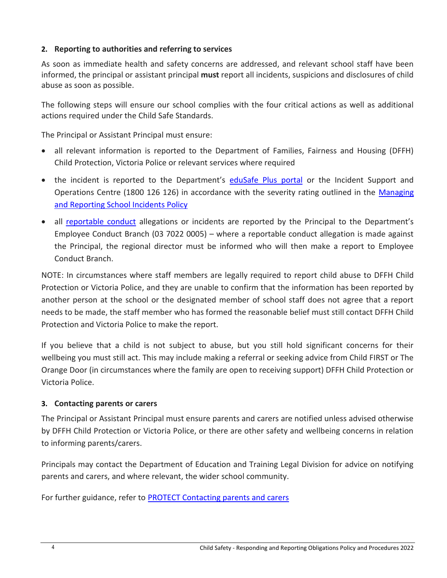## **2. Reporting to authorities and referring to services**

As soon as immediate health and safety concerns are addressed, and relevant school staff have been informed, the principal or assistant principal **must** report all incidents, suspicions and disclosures of child abuse as soon as possible.

The following steps will ensure our school complies with the four critical actions as well as additional actions required under the Child Safe Standards.

The Principal or Assistant Principal must ensure:

- all relevant information is reported to the Department of Families, Fairness and Housing (DFFH) Child Protection, Victoria Police or relevant services where required
- the incident is reported to the Department's [eduSafe Plus portal](https://services.educationapps.vic.gov.au/edusafeplus) or the Incident Support and Operations Centre (1800 126 126) in accordance with the severity rating outlined in the Managing [and Reporting School Incidents Policy](https://www2.education.vic.gov.au/pal/reporting-and-managing-school-incidents-including-emergencies/policy)
- all [reportable conduct](https://www2.education.vic.gov.au/pal/reportable-conduct-scheme/policy) allegations or incidents are reported by the Principal to the Department's Employee Conduct Branch (03 7022 0005) – where a reportable conduct allegation is made against the Principal, the regional director must be informed who will then make a report to Employee Conduct Branch.

NOTE: In circumstances where staff members are legally required to report child abuse to DFFH Child Protection or Victoria Police, and they are unable to confirm that the information has been reported by another person at the school or the designated member of school staff does not agree that a report needs to be made, the staff member who has formed the reasonable belief must still contact DFFH Child Protection and Victoria Police to make the report.

If you believe that a child is not subject to abuse, but you still hold significant concerns for their wellbeing you must still act. This may include making a referral or seeking advice from Child FIRST or The Orange Door (in circumstances where the family are open to receiving support) DFFH Child Protection or Victoria Police.

## **3. Contacting parents or carers**

The Principal or Assistant Principal must ensure parents and carers are notified unless advised otherwise by DFFH Child Protection or Victoria Police, or there are other safety and wellbeing concerns in relation to informing parents/carers.

Principals may contact the Department of Education and Training Legal Division for advice on notifying parents and carers, and where relevant, the wider school community.

For further guidance, refer to [PROTECT Contacting parents and carers](https://www.education.vic.gov.au/school/teachers/health/childprotection/Pages/actionthree.aspx)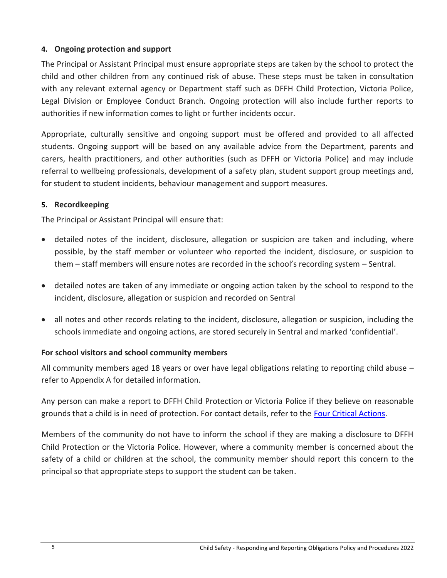## **4. Ongoing protection and support**

The Principal or Assistant Principal must ensure appropriate steps are taken by the school to protect the child and other children from any continued risk of abuse. These steps must be taken in consultation with any relevant external agency or Department staff such as DFFH Child Protection, Victoria Police, Legal Division or Employee Conduct Branch. Ongoing protection will also include further reports to authorities if new information comes to light or further incidents occur.

Appropriate, culturally sensitive and ongoing support must be offered and provided to all affected students. Ongoing support will be based on any available advice from the Department, parents and carers, health practitioners, and other authorities (such as DFFH or Victoria Police) and may include referral to wellbeing professionals, development of a safety plan, student support group meetings and, for student to student incidents, behaviour management and support measures.

## **5. Recordkeeping**

The Principal or Assistant Principal will ensure that:

- detailed notes of the incident, disclosure, allegation or suspicion are taken and including, where possible, by the staff member or volunteer who reported the incident, disclosure, or suspicion to them – staff members will ensure notes are recorded in the school's recording system – Sentral.
- detailed notes are taken of any immediate or ongoing action taken by the school to respond to the incident, disclosure, allegation or suspicion and recorded on Sentral
- all notes and other records relating to the incident, disclosure, allegation or suspicion, including the schools immediate and ongoing actions, are stored securely in Sentral and marked 'confidential'.

## **For school visitors and school community members**

All community members aged 18 years or over have legal obligations relating to reporting child abuse – refer to Appendix A for detailed information.

Any person can make a report to DFFH Child Protection or Victoria Police if they believe on reasonable grounds that a child is in need of protection. For contact details, refer to the [Four Critical Actions.](https://www.education.vic.gov.au/Documents/about/programs/health/protect/FourCriticalActions_ChildAbuse.pdf)

Members of the community do not have to inform the school if they are making a disclosure to DFFH Child Protection or the Victoria Police. However, where a community member is concerned about the safety of a child or children at the school, the community member should report this concern to the principal so that appropriate steps to support the student can be taken.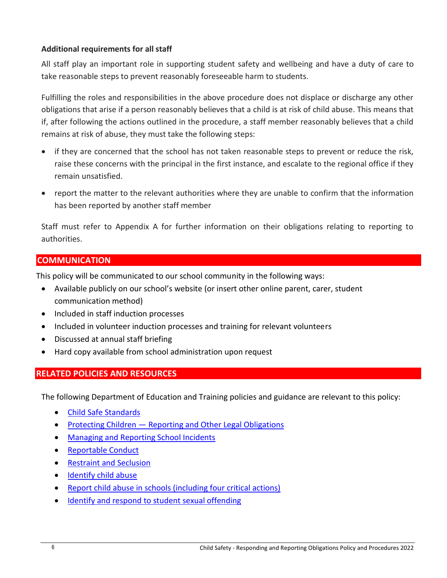#### **Additional requirements for all staff**

All staff play an important role in supporting student safety and wellbeing and have a duty of care to take reasonable steps to prevent reasonably foreseeable harm to students.

Fulfilling the roles and responsibilities in the above procedure does not displace or discharge any other obligations that arise if a person reasonably believes that a child is at risk of child abuse. This means that if, after following the actions outlined in the procedure, a staff member reasonably believes that a child remains at risk of abuse, they must take the following steps:

- if they are concerned that the school has not taken reasonable steps to prevent or reduce the risk, raise these concerns with the principal in the first instance, and escalate to the regional office if they remain unsatisfied.
- report the matter to the relevant authorities where they are unable to confirm that the information has been reported by another staff member

Staff must refer to Appendix A for further information on their obligations relating to reporting to authorities.

## **COMMUNICATION**

This policy will be communicated to our school community in the following ways:

- Available publicly on our school's website (or insert other online parent, carer, student communication method)
- Included in staff induction processes
- Included in volunteer induction processes and training for relevant volunteers
- Discussed at annual staff briefing
- Hard copy available from school administration upon request

## **RELATED POLICIES AND RESOURCES**

The following Department of Education and Training policies and guidance are relevant to this policy:

- [Child Safe Standards](https://www2.education.vic.gov.au/pal/child-safe-standards/policy)
- Protecting Children [Reporting and Other Legal Obligations](https://www2.education.vic.gov.au/pal/protecting-children/policy)
- [Managing and Reporting School Incidents](https://www2.education.vic.gov.au/pal/reporting-and-managing-school-incidents-including-emergencies/policy)
- [Reportable Conduct](https://www2.education.vic.gov.au/pal/reportable-conduct-scheme/policy)
- [Restraint and Seclusion](https://www2.education.vic.gov.au/pal/restraint-seclusion/policy)
- [Identify child abuse](https://www.education.vic.gov.au/school/teachers/health/childprotection/Pages/identify.aspx)
- [Report child abuse in schools \(including four critical actions\)](https://www.education.vic.gov.au/school/teachers/health/childprotection/Pages/report.aspx)
- [Identify and respond to student sexual offending](https://www.education.vic.gov.au/school/teachers/health/childprotection/Pages/stusexual.aspx)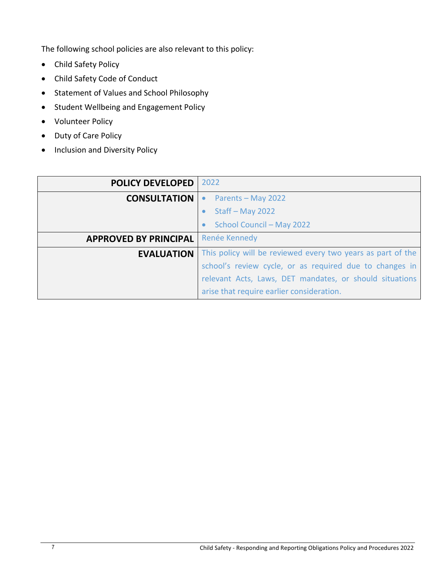The following school policies are also relevant to this policy:

- Child Safety Policy
- Child Safety Code of Conduct
- Statement of Values and School Philosophy
- Student Wellbeing and Engagement Policy
- Volunteer Policy
- Duty of Care Policy
- Inclusion and Diversity Policy

| <b>POLICY DEVELOPED</b>      | 2022                                                        |
|------------------------------|-------------------------------------------------------------|
| <b>CONSULTATION</b>          | Parents - May 2022<br>$\bullet$                             |
|                              | Staff - May 2022                                            |
|                              | School Council - May 2022                                   |
| <b>APPROVED BY PRINCIPAL</b> | Renée Kennedy                                               |
| <b>EVALUATION</b>            | This policy will be reviewed every two years as part of the |
|                              | school's review cycle, or as required due to changes in     |
|                              | relevant Acts, Laws, DET mandates, or should situations     |
|                              | arise that require earlier consideration.                   |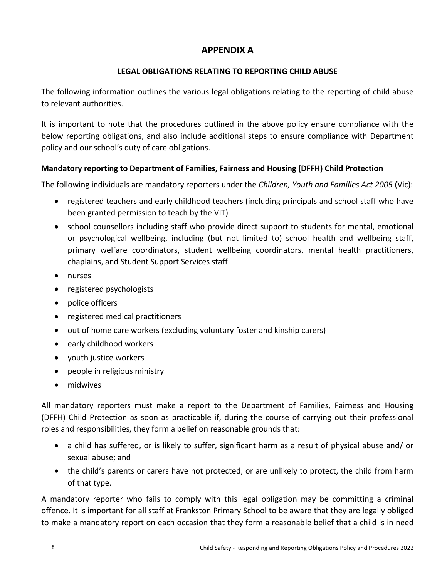# **APPENDIX A**

## **LEGAL OBLIGATIONS RELATING TO REPORTING CHILD ABUSE**

The following information outlines the various legal obligations relating to the reporting of child abuse to relevant authorities.

It is important to note that the procedures outlined in the above policy ensure compliance with the below reporting obligations, and also include additional steps to ensure compliance with Department policy and our school's duty of care obligations.

## **Mandatory reporting to Department of Families, Fairness and Housing (DFFH) Child Protection**

The following individuals are mandatory reporters under the *Children, Youth and Families Act 2005* (Vic):

- registered teachers and early childhood teachers (including principals and school staff who have been granted permission to teach by the VIT)
- school counsellors including staff who provide direct support to students for mental, emotional or psychological wellbeing, including (but not limited to) school health and wellbeing staff, primary welfare coordinators, student wellbeing coordinators, mental health practitioners, chaplains, and Student Support Services staff
- nurses
- registered psychologists
- police officers
- registered medical practitioners
- out of home care workers (excluding voluntary foster and kinship carers)
- early childhood workers
- youth justice workers
- people in religious ministry
- midwives

All mandatory reporters must make a report to the Department of Families, Fairness and Housing (DFFH) Child Protection as soon as practicable if, during the course of carrying out their professional roles and responsibilities, they form a belief on reasonable grounds that:

- a child has suffered, or is likely to suffer, significant harm as a result of physical abuse and/ or sexual abuse; and
- the child's parents or carers have not protected, or are unlikely to protect, the child from harm of that type.

A mandatory reporter who fails to comply with this legal obligation may be committing a criminal offence. It is important for all staff at Frankston Primary School to be aware that they are legally obliged to make a mandatory report on each occasion that they form a reasonable belief that a child is in need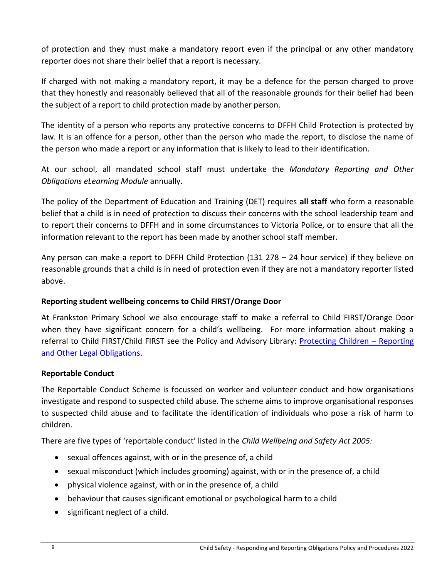of protection and they must make a mandatory report even if the principal or any other mandatory reporter does not share their belief that a report is necessary.

If charged with not making a mandatory report, it may be a defence for the person charged to prove that they honestly and reasonably believed that all of the reasonable grounds for their belief had been the subject of a report to child protection made by another person.

The identity of a person who reports any protective concerns to DFFH Child Protection is protected by law. It is an offence for a person, other than the person who made the report, to disclose the name of the person who made a report or any information that is likely to lead to their identification.

At our school, all mandated school staff must undertake the *Mandatory Reporting and Other Obligations eLearning Module* annually.

The policy of the Department of Education and Training (DET) requires **all staff** who form a reasonable belief that a child is in need of protection to discuss their concerns with the school leadership team and to report their concerns to DFFH and in some circumstances to Victoria Police, or to ensure that all the information relevant to the report has been made by another school staff member.

Any person can make a report to DFFH Child Protection (131 278 – 24 hour service) if they believe on reasonable grounds that a child is in need of protection even if they are not a mandatory reporter listed above.

## **Reporting student wellbeing concerns to Child FIRST/Orange Door**

At Frankston Primary School we also encourage staff to make a referral to Child FIRST/Orange Door when they have significant concern for a child's wellbeing. For more information about making a referral to Child FIRST/Child FIRST see the Policy and Advisory Library: [Protecting Children](https://www2.education.vic.gov.au/pal/protecting-children/policy) – Reporting [and Other Legal Obligations.](https://www2.education.vic.gov.au/pal/protecting-children/policy)

## **Reportable Conduct**

The Reportable Conduct Scheme is focussed on worker and volunteer conduct and how organisations investigate and respond to suspected child abuse. The scheme aims to improve organisational responses to suspected child abuse and to facilitate the identification of individuals who pose a risk of harm to children.

There are five types of 'reportable conduct' listed in the *Child Wellbeing and Safety Act 2005:*

- sexual offences against, with or in the presence of, a child
- sexual misconduct (which includes grooming) against, with or in the presence of, a child
- physical violence against, with or in the presence of, a child
- behaviour that causes significant emotional or psychological harm to a child
- $\bullet$  significant neglect of a child.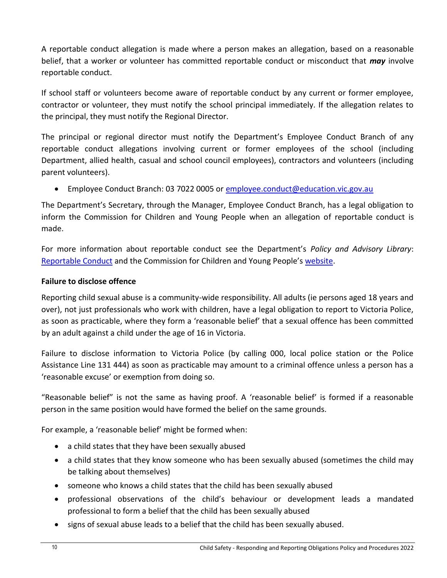A reportable conduct allegation is made where a person makes an allegation, based on a reasonable belief, that a worker or volunteer has committed reportable conduct or misconduct that *may* involve reportable conduct.

If school staff or volunteers become aware of reportable conduct by any current or former employee, contractor or volunteer, they must notify the school principal immediately. If the allegation relates to the principal, they must notify the Regional Director.

The principal or regional director must notify the Department's Employee Conduct Branch of any reportable conduct allegations involving current or former employees of the school (including Department, allied health, casual and school council employees), contractors and volunteers (including parent volunteers).

Employee Conduct Branch: 03 7022 0005 or [employee.conduct@education.vic.gov.au](mailto:employee.conduct@education.vic.gov.au)

The Department's Secretary, through the Manager, Employee Conduct Branch, has a legal obligation to inform the Commission for Children and Young People when an allegation of reportable conduct is made.

For more information about reportable conduct see the Department's *Policy and Advisory Library*: [Reportable Conduct](https://www2.education.vic.gov.au/pal/reportable-conduct-scheme/policy) and the Commission for Children and Young People's [website.](https://ccyp.vic.gov.au/reportable-conduct-scheme/)

## **Failure to disclose offence**

Reporting child sexual abuse is a community-wide responsibility. All adults (ie persons aged 18 years and over), not just professionals who work with children, have a legal obligation to report to Victoria Police, as soon as practicable, where they form a 'reasonable belief' that a sexual offence has been committed by an adult against a child under the age of 16 in Victoria.

Failure to disclose information to Victoria Police (by calling 000, local police station or the Police Assistance Line 131 444) as soon as practicable may amount to a criminal offence unless a person has a 'reasonable excuse' or exemption from doing so.

"Reasonable belief" is not the same as having proof. A 'reasonable belief' is formed if a reasonable person in the same position would have formed the belief on the same grounds.

For example, a 'reasonable belief' might be formed when:

- a child states that they have been sexually abused
- a child states that they know someone who has been sexually abused (sometimes the child may be talking about themselves)
- someone who knows a child states that the child has been sexually abused
- professional observations of the child's behaviour or development leads a mandated professional to form a belief that the child has been sexually abused
- signs of sexual abuse leads to a belief that the child has been sexually abused.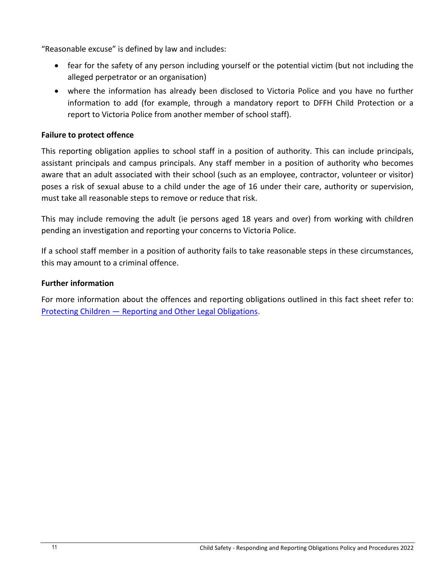"Reasonable excuse" is defined by law and includes:

- fear for the safety of any person including yourself or the potential victim (but not including the alleged perpetrator or an organisation)
- where the information has already been disclosed to Victoria Police and you have no further information to add (for example, through a mandatory report to DFFH Child Protection or a report to Victoria Police from another member of school staff).

#### **Failure to protect offence**

This reporting obligation applies to school staff in a position of authority. This can include principals, assistant principals and campus principals. Any staff member in a position of authority who becomes aware that an adult associated with their school (such as an employee, contractor, volunteer or visitor) poses a risk of sexual abuse to a child under the age of 16 under their care, authority or supervision, must take all reasonable steps to remove or reduce that risk.

This may include removing the adult (ie persons aged 18 years and over) from working with children pending an investigation and reporting your concerns to Victoria Police.

If a school staff member in a position of authority fails to take reasonable steps in these circumstances, this may amount to a criminal offence.

#### **Further information**

For more information about the offences and reporting obligations outlined in this fact sheet refer to: Protecting Children — [Reporting and Other Legal Obligations.](https://www2.education.vic.gov.au/pal/protecting-children/policy)